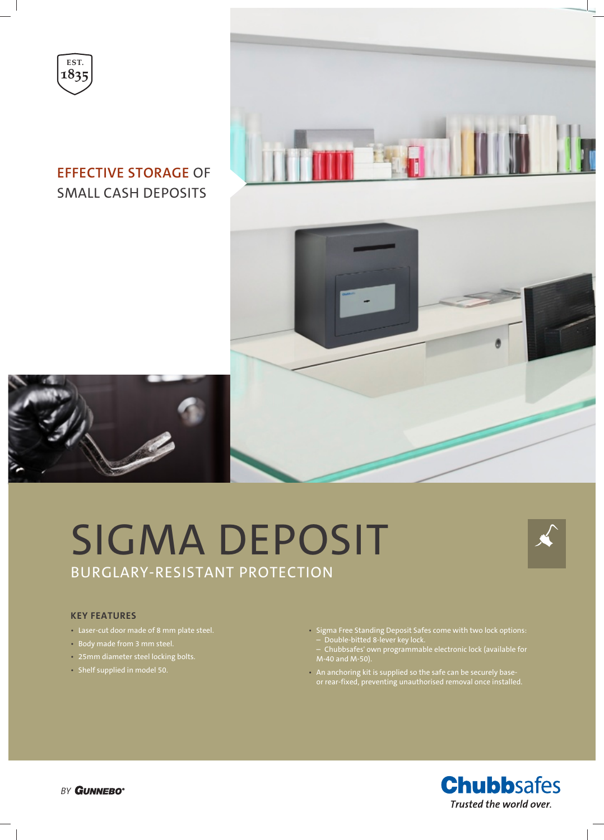



### **EFFECTIVE STORAGE** OF SMALL CASH DEPOSITS



# SIGMA DEPOSIT BURGLARY-RESISTANT PROTECTION



#### **KEY FEATURES**

- Laser-cut door made of 8 mm plate steel.
- Body made from 3 mm steel.
- 25mm diameter steel locking bolts.
- Shelf supplied in model 50.
- Sigma Free Standing Deposit Safes come with two lock options: – Double-bitted 8-lever key lock.
- Chubbsafes' own programmable electronic lock (available for
- An anchoring kit is supplied so the safe can be securely baseor rear-fixed, preventing unauthorised removal once installed.